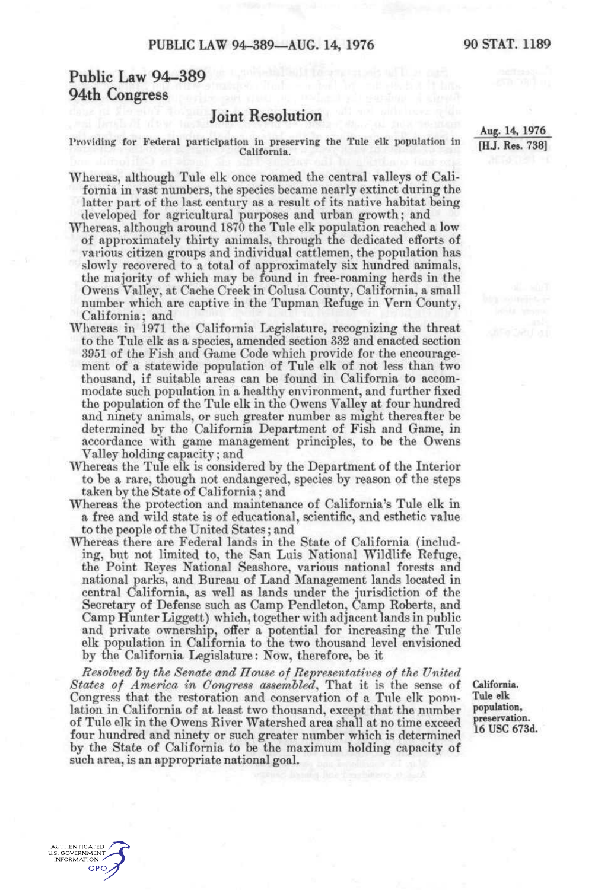## **Public Law 94-389 94th Congress**

**AUTHENTICATED** U.S. GOVERNMENT **INFORMATION GPO** 

## **Joint Resolution**

Providing for Federal participation in preserving the Tule elk population in California.

Whereas, although Tule elk once roamed the central valleys of California in vast numbers, the species became nearly extinct during the latter part of the last century as a result of its native habitat being developed for agricultural purposes and urban growth; and

- Whereas, although around 1870 the Tule elk population reached a low of approximately thirty animals, through the dedicated efforts of various citizen groups and individual cattlemen, the population has slowly recovered to a total of approximately six hundred animals, the majority of which may be found in free-roaming herds in the Owens Valley, at Cache Creek in Colusa County, California, a small number which are captive in the Tupman Refuge in Vern County, California; and
- Whereas in 1971 the California Legislature, recognizing the threat to the Tule elk as a species, amended section 332 and enacted section 3951 of the Fish and Game Code which provide for the encouragement of a statewide population of Tule elk of not less than two thousand, if suitable areas can be found in California to accommodate such population in a healthy environment, and further fixed the population of the Tule elk in the Owens Vallev at four hundred and ninety animals, or such greater number as might thereafter be determined by the California Department of Fish and Game, in accordance with game management principles, to be the Owens Valley holding capacity; and
- Whereas the Tule elk is considered by the Department of the Interior to be a rare, though not endangered, species by reason of the steps taken by the State of California; and
- Whereas the protection and maintenance of California's Tule elk in a free and wild state is of educational, scientific, and esthetic value to the people of the United States; and
- Whereas there are Federal lands in the State of California (including, but not limited to, the San Luis National Wildlife Refuge, the Point Reyes National Seashore, various national forests and national parks, and Bureau of Land Management lands located in central California, as well as lands under the jurisdiction of the Secretary of Defense such as Camp Pendleton, Camp Roberts, and Camp Hunter Liggett) which, together with adjacent lands in public and private ownership, offer a potential for increasing the Tule elk population in California to the two thousand level envisioned by the California Legislature: Now, therefore, be it

*Resolved hy the Senate and House of Representatives of the United, States of America in Congress assembled^* That it is the sense of Congress that the restoration and conservation of a Tule elk ponnlation in California of at least two thousand, except that the number of Tule elk in the Owens River Watershed area shall at no time exceed four hundred and ninety or such greater number which is determined by the State of California to be the maximum holding capacity of such area, is an appropriate national goal.

**California. Tule elk population, preservation.**  16 use 673d.

**Aug. 14, 1976 [H.J. Res. 738]**